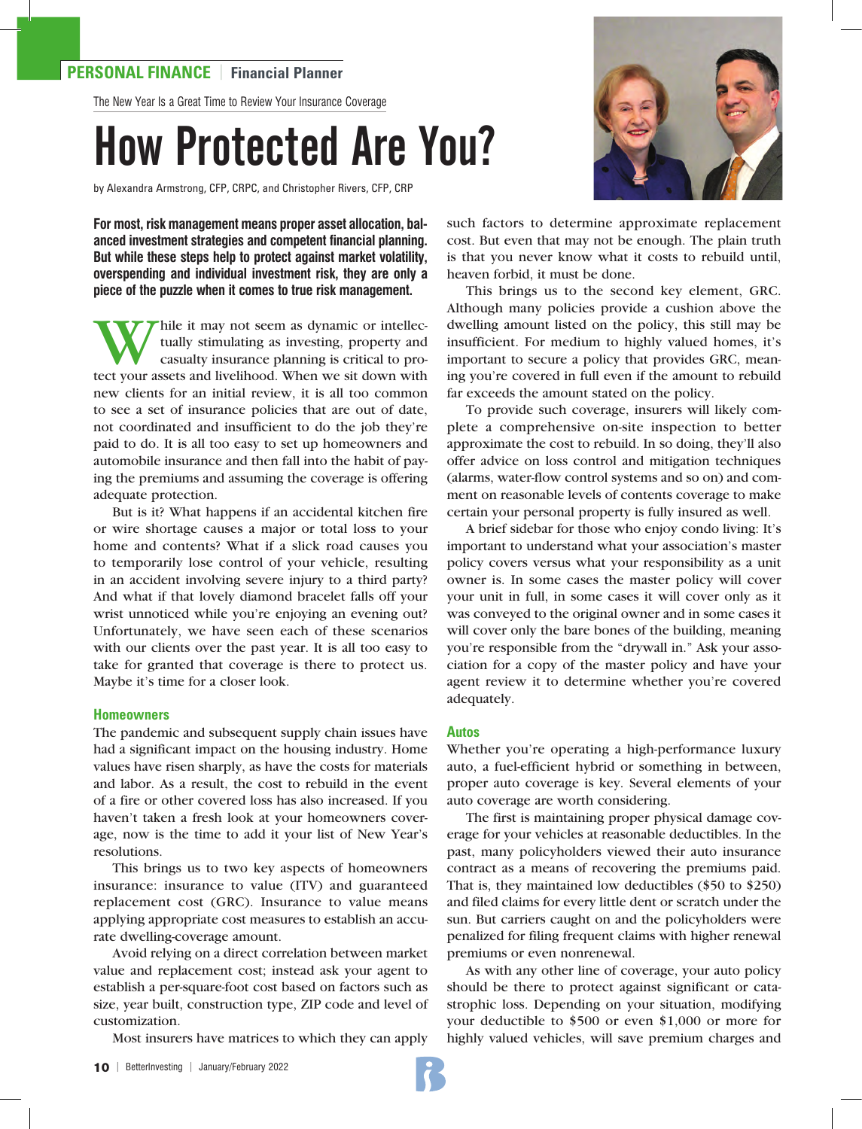### **PERSONAL FINANCE** | **Financial Planner**

The New Year Is a Great Time to Review Your Insurance Coverage

# How Protected Are You?

by Alexandra Armstrong, CFP, CRPC, and Christopher Rivers, CFP, CRP

**For most, risk management means proper asset allocation, balanced investment strategies and competent financial planning. But while these steps help to protect against market volatility, overspending and individual investment risk, they are only a piece of the puzzle when it comes to true risk management.** 

hile it may not seem as dynamic or intellectually stimulating as investing, property and casualty insurance planning is critical to protect your assets and livelihood. When we sit down with new clients for an initial review, it is all too common to see a set of insurance policies that are out of date, not coordinated and insufficient to do the job they're paid to do. It is all too easy to set up homeowners and automobile insurance and then fall into the habit of paying the premiums and assuming the coverage is offering adequate protection.

But is it? What happens if an accidental kitchen fire or wire shortage causes a major or total loss to your home and contents? What if a slick road causes you to temporarily lose control of your vehicle, resulting in an accident involving severe injury to a third party? And what if that lovely diamond bracelet falls off your wrist unnoticed while you're enjoying an evening out? Unfortunately, we have seen each of these scenarios with our clients over the past year. It is all too easy to take for granted that coverage is there to protect us. Maybe it's time for a closer look.

#### **Homeowners**

The pandemic and subsequent supply chain issues have had a significant impact on the housing industry. Home values have risen sharply, as have the costs for materials and labor. As a result, the cost to rebuild in the event of a fire or other covered loss has also increased. If you haven't taken a fresh look at your homeowners coverage, now is the time to add it your list of New Year's resolutions.

This brings us to two key aspects of homeowners insurance: insurance to value (ITV) and guaranteed replacement cost (GRC). Insurance to value means applying appropriate cost measures to establish an accurate dwelling-coverage amount.

Avoid relying on a direct correlation between market value and replacement cost; instead ask your agent to establish a per-square-foot cost based on factors such as size, year built, construction type, ZIP code and level of customization.

Most insurers have matrices to which they can apply



such factors to determine approximate replacement cost. But even that may not be enough. The plain truth is that you never know what it costs to rebuild until, heaven forbid, it must be done.

This brings us to the second key element, GRC. Although many policies provide a cushion above the dwelling amount listed on the policy, this still may be insufficient. For medium to highly valued homes, it's important to secure a policy that provides GRC, meaning you're covered in full even if the amount to rebuild far exceeds the amount stated on the policy.

To provide such coverage, insurers will likely complete a comprehensive on-site inspection to better approximate the cost to rebuild. In so doing, they'll also offer advice on loss control and mitigation techniques (alarms, water-flow control systems and so on) and comment on reasonable levels of contents coverage to make certain your personal property is fully insured as well.

A brief sidebar for those who enjoy condo living: It's important to understand what your association's master policy covers versus what your responsibility as a unit owner is. In some cases the master policy will cover your unit in full, in some cases it will cover only as it was conveyed to the original owner and in some cases it will cover only the bare bones of the building, meaning you're responsible from the "drywall in." Ask your association for a copy of the master policy and have your agent review it to determine whether you're covered adequately.

#### **Autos**

Whether you're operating a high-performance luxury auto, a fuel-efficient hybrid or something in between, proper auto coverage is key. Several elements of your auto coverage are worth considering.

The first is maintaining proper physical damage coverage for your vehicles at reasonable deductibles. In the past, many policyholders viewed their auto insurance contract as a means of recovering the premiums paid. That is, they maintained low deductibles (\$50 to \$250) and filed claims for every little dent or scratch under the sun. But carriers caught on and the policyholders were penalized for filing frequent claims with higher renewal premiums or even nonrenewal.

As with any other line of coverage, your auto policy should be there to protect against significant or catastrophic loss. Depending on your situation, modifying your deductible to \$500 or even \$1,000 or more for highly valued vehicles, will save premium charges and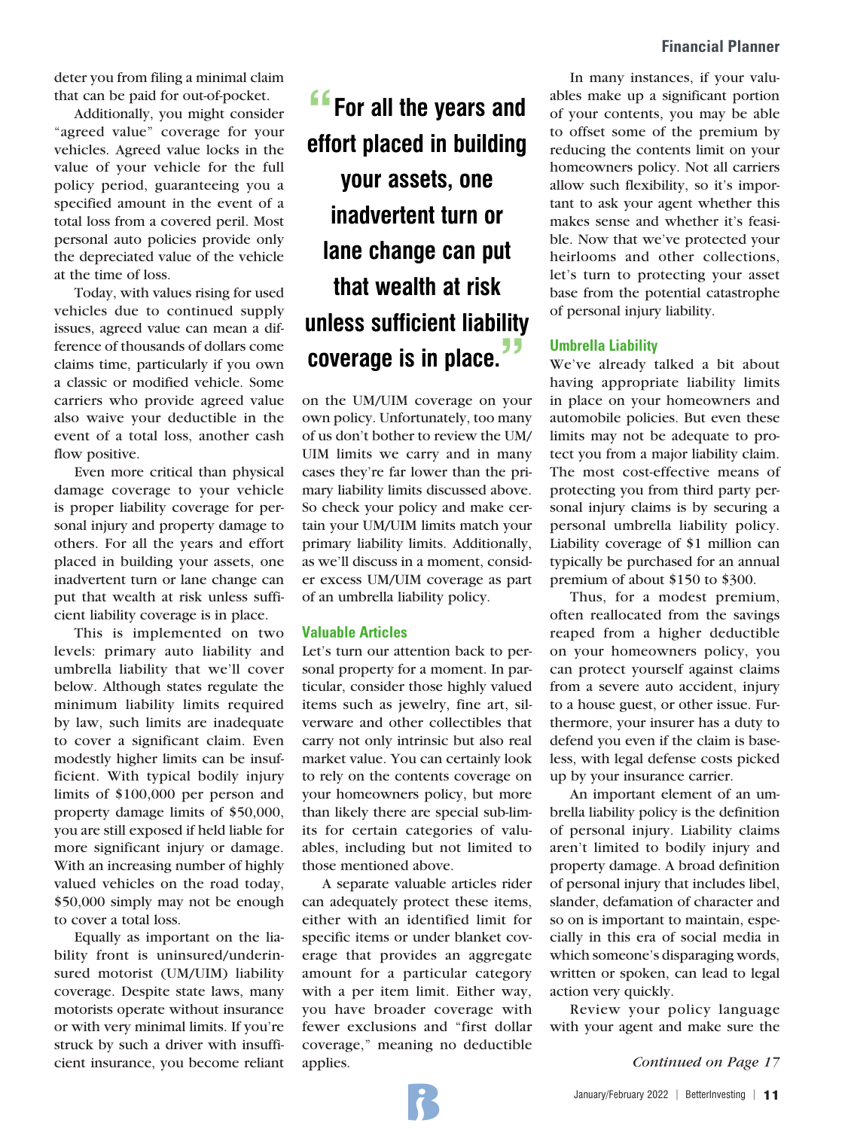deter you from filing a minimal claim that can be paid for out-of-pocket.

Additionally, you might consider "agreed value" coverage for your vehicles. Agreed value locks in the value of your vehicle for the full policy period, guaranteeing you a specified amount in the event of a total loss from a covered peril. Most personal auto policies provide only the depreciated value of the vehicle at the time of loss.

Today, with values rising for used vehicles due to continued supply issues, agreed value can mean a difference of thousands of dollars come claims time, particularly if you own a classic or modified vehicle. Some carriers who provide agreed value also waive your deductible in the event of a total loss, another cash flow positive.

Even more critical than physical damage coverage to your vehicle is proper liability coverage for personal injury and property damage to others. For all the years and effort placed in building your assets, one inadvertent turn or lane change can put that wealth at risk unless sufficient liability coverage is in place.

This is implemented on two levels: primary auto liability and umbrella liability that we'll cover below. Although states regulate the minimum liability limits required by law, such limits are inadequate to cover a significant claim. Even modestly higher limits can be insufficient. With typical bodily injury limits of \$100,000 per person and property damage limits of \$50,000, you are still exposed if held liable for more significant injury or damage. With an increasing number of highly valued vehicles on the road today, \$50,000 simply may not be enough to cover a total loss.

Equally as important on the liability front is uninsured/underinsured motorist (UM/UIM) liability coverage. Despite state laws, many motorists operate without insurance or with very minimal limits. If you're struck by such a driver with insufficient insurance, you become reliant

## **"For all the years and effort placed in building your assets, one inadvertent turn or lane change can put that wealth at risk unless sufficient liability coverage is in place."**

on the UM/UIM coverage on your own policy. Unfortunately, too many of us don't bother to review the UM/ UIM limits we carry and in many cases they're far lower than the primary liability limits discussed above. So check your policy and make certain your UM/UIM limits match your primary liability limits. Additionally, as we'll discuss in a moment, consider excess UM/UIM coverage as part of an umbrella liability policy.

#### **Valuable Articles**

Let's turn our attention back to personal property for a moment. In particular, consider those highly valued items such as jewelry, fine art, silverware and other collectibles that carry not only intrinsic but also real market value. You can certainly look to rely on the contents coverage on your homeowners policy, but more than likely there are special sub-limits for certain categories of valuables, including but not limited to those mentioned above.

A separate valuable articles rider can adequately protect these items, either with an identified limit for specific items or under blanket coverage that provides an aggregate amount for a particular category with a per item limit. Either way, you have broader coverage with fewer exclusions and "first dollar coverage," meaning no deductible applies.

In many instances, if your valuables make up a significant portion of your contents, you may be able to offset some of the premium by reducing the contents limit on your homeowners policy. Not all carriers allow such flexibility, so it's important to ask your agent whether this makes sense and whether it's feasible. Now that we've protected your heirlooms and other collections, let's turn to protecting your asset base from the potential catastrophe of personal injury liability.

#### **Umbrella Liability**

We've already talked a bit about having appropriate liability limits in place on your homeowners and automobile policies. But even these limits may not be adequate to protect you from a major liability claim. The most cost-effective means of protecting you from third party personal injury claims is by securing a personal umbrella liability policy. Liability coverage of \$1 million can typically be purchased for an annual premium of about \$150 to \$300.

Thus, for a modest premium, often reallocated from the savings reaped from a higher deductible on your homeowners policy, you can protect yourself against claims from a severe auto accident, injury to a house guest, or other issue. Furthermore, your insurer has a duty to defend you even if the claim is baseless, with legal defense costs picked up by your insurance carrier.

An important element of an umbrella liability policy is the definition of personal injury. Liability claims aren't limited to bodily injury and property damage. A broad definition of personal injury that includes libel, slander, defamation of character and so on is important to maintain, especially in this era of social media in which someone's disparaging words, written or spoken, can lead to legal action very quickly.

Review your policy language with your agent and make sure the

*Continued on Page 17*